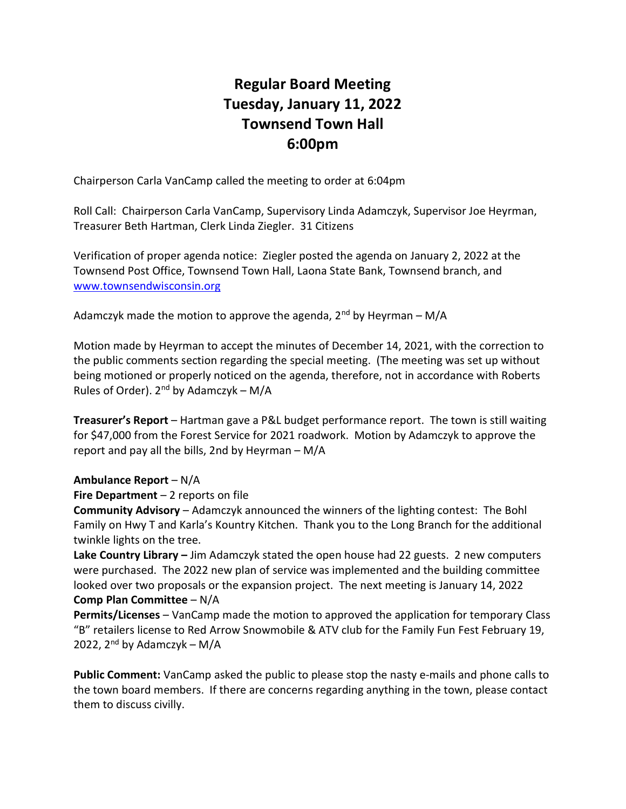# Regular Board Meeting Tuesday, January 11, 2022 Townsend Town Hall 6:00pm

Chairperson Carla VanCamp called the meeting to order at 6:04pm

Roll Call: Chairperson Carla VanCamp, Supervisory Linda Adamczyk, Supervisor Joe Heyrman, Treasurer Beth Hartman, Clerk Linda Ziegler. 31 Citizens

Verification of proper agenda notice: Ziegler posted the agenda on January 2, 2022 at the Townsend Post Office, Townsend Town Hall, Laona State Bank, Townsend branch, and www.townsendwisconsin.org

Adamczyk made the motion to approve the agenda,  $2^{nd}$  by Heyrman – M/A

Motion made by Heyrman to accept the minutes of December 14, 2021, with the correction to the public comments section regarding the special meeting. (The meeting was set up without being motioned or properly noticed on the agenda, therefore, not in accordance with Roberts Rules of Order).  $2^{nd}$  by Adamczyk – M/A

Treasurer's Report - Hartman gave a P&L budget performance report. The town is still waiting for \$47,000 from the Forest Service for 2021 roadwork. Motion by Adamczyk to approve the report and pay all the bills, 2nd by Heyrman – M/A

### Ambulance Report – N/A

### Fire Department  $-2$  reports on file

Community Advisory – Adamczyk announced the winners of the lighting contest: The Bohl Family on Hwy T and Karla's Kountry Kitchen. Thank you to the Long Branch for the additional twinkle lights on the tree.

Lake Country Library - Jim Adamczyk stated the open house had 22 guests. 2 new computers were purchased. The 2022 new plan of service was implemented and the building committee looked over two proposals or the expansion project. The next meeting is January 14, 2022 Comp Plan Committee – N/A

Permits/Licenses – VanCamp made the motion to approved the application for temporary Class "B" retailers license to Red Arrow Snowmobile & ATV club for the Family Fun Fest February 19, 2022,  $2<sup>nd</sup>$  by Adamczyk – M/A

Public Comment: VanCamp asked the public to please stop the nasty e-mails and phone calls to the town board members. If there are concerns regarding anything in the town, please contact them to discuss civilly.